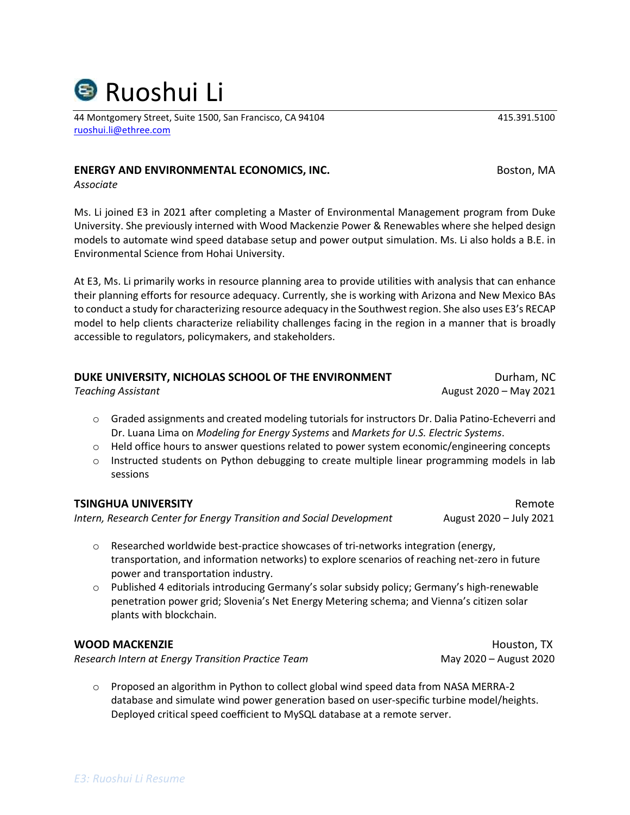44 Montgomery Street, Suite 1500, San Francisco, CA 94104 415.391.5100 [ruoshui.li@ethree.com](mailto:ruoshui.li@ethree.com)

# **ENERGY AND ENVIRONMENTAL ECONOMICS, INC.** The manufacturer of the most on the most of the most of the most of the most of the most of the most of the most of the most of the most of the most of the most of the most of the

*Associate*

Ms. Li joined E3 in 2021 after completing a Master of Environmental Management program from Duke University. She previously interned with Wood Mackenzie Power & Renewables where she helped design models to automate wind speed database setup and power output simulation. Ms. Li also holds a B.E. in Environmental Science from Hohai University.

At E3, Ms. Li primarily works in resource planning area to provide utilities with analysis that can enhance their planning efforts for resource adequacy. Currently, she is working with Arizona and New Mexico BAs to conduct a study for characterizing resource adequacy in the Southwest region. She also uses E3's RECAP model to help clients characterize reliability challenges facing in the region in a manner that is broadly accessible to regulators, policymakers, and stakeholders.

## **DUKE UNIVERSITY, NICHOLAS SCHOOL OF THE ENVIRONMENT FOR A SUMPLE PROPERTY AND A SUMPLE PROPERTY**

*Teaching Assistant* August 2020 – May 2021

- o Graded assignments and created modeling tutorials for instructors Dr. Dalia Patino-Echeverri and Dr. Luana Lima on *Modeling for Energy Systems* and *Markets for U.S. Electric Systems*.
- $\circ$  Held office hours to answer questions related to power system economic/engineering concepts
- $\circ$  Instructed students on Python debugging to create multiple linear programming models in lab sessions

### **TSINGHUA UNIVERSITY** Remote

*Intern, Research Center for Energy Transition and Social Development* August 2020 – July 2021

- $\circ$  Researched worldwide best-practice showcases of tri-networks integration (energy, transportation, and information networks) to explore scenarios of reaching net-zero in future power and transportation industry.
- o Published 4 editorials introducing Germany's solar subsidy policy; Germany's high-renewable penetration power grid; Slovenia's Net Energy Metering schema; and Vienna's citizen solar plants with blockchain.

### **WOOD MACKENZIE Houston, TX**

*Research Intern at Energy Transition Practice Team* May 2020 – August 2020

 $\circ$  Proposed an algorithm in Python to collect global wind speed data from NASA MERRA-2 database and simulate wind power generation based on user-specific turbine model/heights. Deployed critical speed coefficient to MySQL database at a remote server.

**<sup>S</sup> Ruoshui Li**